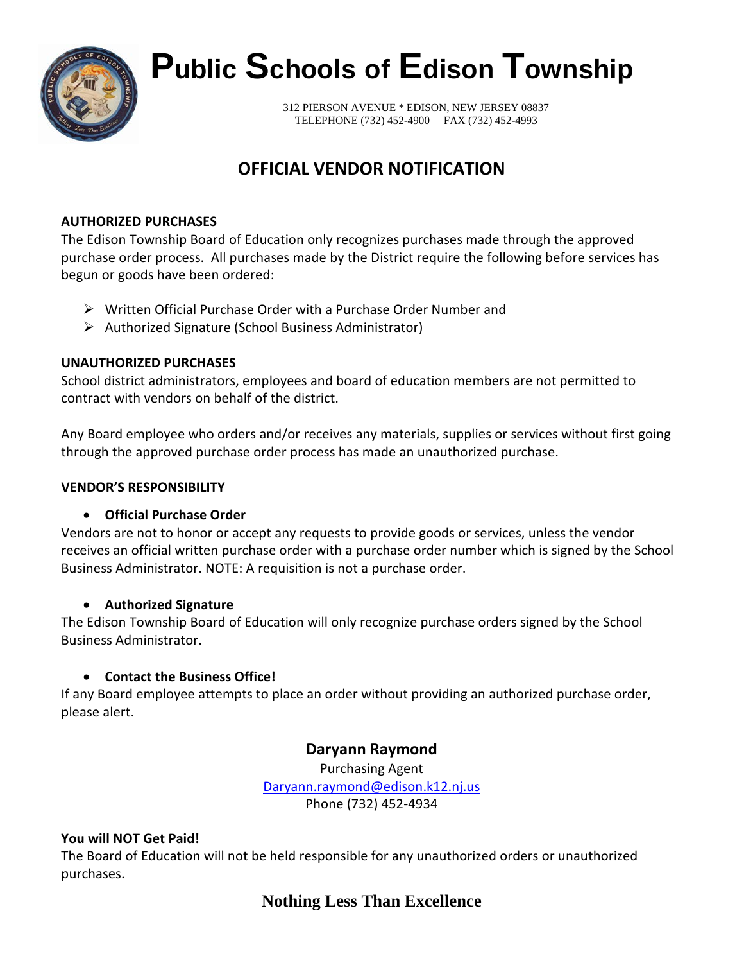

# **Public Schools of Edison Township**

312 PIERSON AVENUE \* EDISON, NEW JERSEY 08837 TELEPHONE (732) 452-4900 FAX (732) 452-4993

# **OFFICIAL VENDOR NOTIFICATION**

## **AUTHORIZED PURCHASES**

The Edison Township Board of Education only recognizes purchases made through the approved purchase order process. All purchases made by the District require the following before services has begun or goods have been ordered:

- Written Official Purchase Order with a Purchase Order Number and
- Authorized Signature (School Business Administrator)

## **UNAUTHORIZED PURCHASES**

School district administrators, employees and board of education members are not permitted to contract with vendors on behalf of the district.

Any Board employee who orders and/or receives any materials, supplies or services without first going through the approved purchase order process has made an unauthorized purchase.

## **VENDOR'S RESPONSIBILITY**

# • **Official Purchase Order**

Vendors are not to honor or accept any requests to provide goods or services, unless the vendor receives an official written purchase order with a purchase order number which is signed by the School Business Administrator. NOTE: A requisition is not a purchase order.

# • **Authorized Signature**

The Edison Township Board of Education will only recognize purchase orders signed by the School Business Administrator.

# • **Contact the Business Office!**

If any Board employee attempts to place an order without providing an authorized purchase order, please alert.

# **Daryann Raymond**

Purchasing Agent [Daryann.raymond@edison.k12.nj.us](mailto:Daryann.raymond@edison.k12.nj.us) Phone (732) 452-4934

# **You will NOT Get Paid!**

The Board of Education will not be held responsible for any unauthorized orders or unauthorized purchases.

# **Nothing Less Than Excellence**